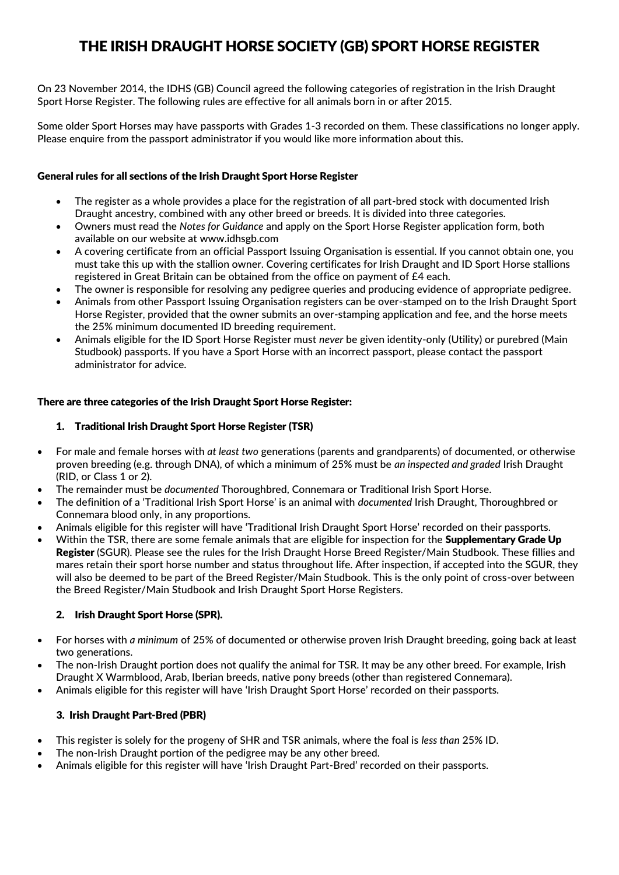# THE IRISH DRAUGHT HORSE SOCIETY (GB) SPORT HORSE REGISTER

On 23 November 2014, the IDHS (GB) Council agreed the following categories of registration in the Irish Draught Sport Horse Register. The following rules are effective for all animals born in or after 2015.

Some older Sport Horses may have passports with Grades 1-3 recorded on them. These classifications no longer apply. Please enquire from the passport administrator if you would like more information about this.

## General rules for all sections of the Irish Draught Sport Horse Register

- The register as a whole provides a place for the registration of all part-bred stock with documented Irish Draught ancestry, combined with any other breed or breeds. It is divided into three categories.
- Owners must read the *Notes for Guidance* and apply on the Sport Horse Register application form, both available on our website at [www.idhsgb.com](http://www.idhsgb.com/)
- A covering certificate from an official Passport Issuing Organisation is essential. If you cannot obtain one, you must take this up with the stallion owner. Covering certificates for Irish Draught and ID Sport Horse stallions registered in Great Britain can be obtained from the office on payment of £4 each.
- The owner is responsible for resolving any pedigree queries and producing evidence of appropriate pedigree.
- Animals from other Passport Issuing Organisation registers can be over-stamped on to the Irish Draught Sport Horse Register, provided that the owner submits an over-stamping application and fee, and the horse meets the 25% minimum documented ID breeding requirement.
- Animals eligible for the ID Sport Horse Register must *never* be given identity-only (Utility) or purebred (Main Studbook) passports. If you have a Sport Horse with an incorrect passport, please contact the passport administrator for advice.

# There are three categories of the Irish Draught Sport Horse Register:

# 1. Traditional Irish Draught Sport Horse Register (TSR)

- For male and female horses with *at least two* generations (parents and grandparents) of documented, or otherwise proven breeding (e.g. through DNA), of which a minimum of 25% must be *an inspected and graded* Irish Draught (RID, or Class 1 or 2).
- The remainder must be *documented* Thoroughbred, Connemara or Traditional Irish Sport Horse.
- The definition of a 'Traditional Irish Sport Horse' is an animal with *documented* Irish Draught, Thoroughbred or Connemara blood only, in any proportions.
- Animals eligible for this register will have 'Traditional Irish Draught Sport Horse' recorded on their passports.
- Within the TSR, there are some female animals that are eligible for inspection for the Supplementary Grade Up Register (SGUR). Please see the rules for the Irish Draught Horse Breed Register/Main Studbook. These fillies and mares retain their sport horse number and status throughout life. After inspection, if accepted into the SGUR, they will also be deemed to be part of the Breed Register/Main Studbook. This is the only point of cross-over between the Breed Register/Main Studbook and Irish Draught Sport Horse Registers.

## 2. Irish Draught Sport Horse (SPR).

- For horses with *a minimum* of 25% of documented or otherwise proven Irish Draught breeding, going back at least two generations.
- The non-Irish Draught portion does not qualify the animal for TSR. It may be any other breed. For example, Irish Draught X Warmblood, Arab, Iberian breeds, native pony breeds (other than registered Connemara).
- Animals eligible for this register will have 'Irish Draught Sport Horse' recorded on their passports.

## 3. Irish Draught Part-Bred (PBR)

- This register is solely for the progeny of SHR and TSR animals, where the foal is *less than* 25% ID.
- The non-Irish Draught portion of the pedigree may be any other breed.
- Animals eligible for this register will have 'Irish Draught Part-Bred' recorded on their passports.